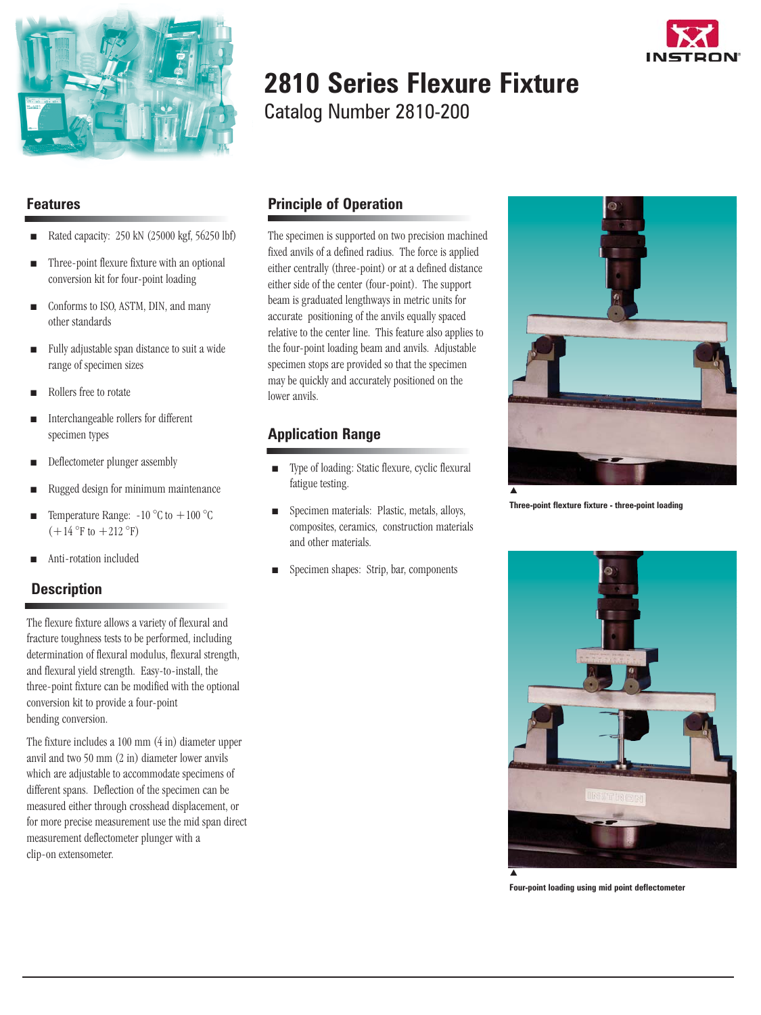

# **2810 Series Flexure Fixture**

Catalog Number 2810-200

The specimen is supported on two precision machined fixed anvils of a defined radius. The force is applied

**Principle of Operation**

### **Features**

- <sup>i</sup> Rated capacity: 250 kN (25000 kgf, 56250 lbf)
- Three-point flexure fixture with an optional conversion kit for four-point loading
- Conforms to ISO, ASTM, DIN, and many other standards
- $\blacksquare$  Fully adjustable span distance to suit a wide range of specimen sizes
- Rollers free to rotate
- Interchangeable rollers for different specimen types
- Deflectometer plunger assembly
- Rugged design for minimum maintenance
- **ightarrow** Temperature Range:  $-10^{\circ}$ C to  $+100^{\circ}$ C  $(+14 °F)$  to  $+212 °F)$
- Anti-rotation included

### **Description**

The flexure fixture allows a variety of flexural and fracture toughness tests to be performed, including determination of flexural modulus, flexural strength, and flexural yield strength. Easy-to-install, the three-point fixture can be modified with the optional conversion kit to provide a four-point bending conversion.

The fixture includes a 100 mm (4 in) diameter upper anvil and two 50 mm (2 in) diameter lower anvils which are adjustable to accommodate specimens of different spans. Deflection of the specimen can be measured either through crosshead displacement, or for more precise measurement use the mid span direct measurement deflectometer plunger with a clip-on extensometer.



### **Application Range**

lower anvils.

- $\blacksquare$  Type of loading: Static flexure, cyclic flexural fatigue testing.
- **ightharror Specimen materials: Plastic, metals, alloys,** composites, ceramics, construction materials and other materials.
- Specimen shapes: Strip, bar, components



**Three-point flexture fixture - three-point loading**



**Four-point loading using mid point deflectometer**